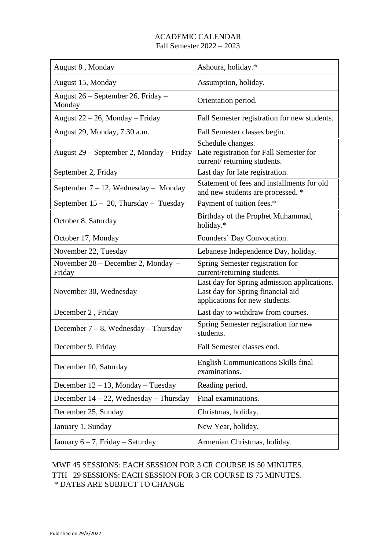## ACADEMIC CALENDAR Fall Semester 2022 – 2023

| August 8, Monday                             | Ashoura, holiday.*                                                                                                 |
|----------------------------------------------|--------------------------------------------------------------------------------------------------------------------|
| August 15, Monday                            | Assumption, holiday.                                                                                               |
| August 26 – September 26, Friday –<br>Monday | Orientation period.                                                                                                |
| August $22 - 26$ , Monday – Friday           | Fall Semester registration for new students.                                                                       |
| August 29, Monday, 7:30 a.m.                 | Fall Semester classes begin.                                                                                       |
| August 29 – September 2, Monday – Friday     | Schedule changes.<br>Late registration for Fall Semester for<br>current/returning students.                        |
| September 2, Friday                          | Last day for late registration.                                                                                    |
| September $7 - 12$ , Wednesday – Monday      | Statement of fees and installments for old<br>and new students are processed. *                                    |
| September $15 - 20$ , Thursday – Tuesday     | Payment of tuition fees.*                                                                                          |
| October 8, Saturday                          | Birthday of the Prophet Muhammad,<br>holiday.*                                                                     |
| October 17, Monday                           | Founders' Day Convocation.                                                                                         |
| November 22, Tuesday                         | Lebanese Independence Day, holiday.                                                                                |
| November 28 – December 2, Monday –<br>Friday | Spring Semester registration for<br>current/returning students.                                                    |
| November 30, Wednesday                       | Last day for Spring admission applications.<br>Last day for Spring financial aid<br>applications for new students. |
| December 2, Friday                           | Last day to withdraw from courses.                                                                                 |
| December $7 - 8$ , Wednesday – Thursday      | Spring Semester registration for new<br>students.                                                                  |
| December 9, Friday                           | Fall Semester classes end.                                                                                         |
| December 10, Saturday                        | <b>English Communications Skills final</b><br>examinations.                                                        |
| December $12 - 13$ , Monday – Tuesday        | Reading period.                                                                                                    |
| December $14 - 22$ , Wednesday – Thursday    | Final examinations.                                                                                                |
| December 25, Sunday                          | Christmas, holiday.                                                                                                |
| January 1, Sunday                            | New Year, holiday.                                                                                                 |
| January $6 - 7$ , Friday – Saturday          | Armenian Christmas, holiday.                                                                                       |

## MWF 45 SESSIONS: EACH SESSION FOR 3 CR COURSE IS 50 MINUTES. TTH 29 SESSIONS: EACH SESSION FOR 3 CR COURSE IS 75 MINUTES. \* DATES ARE SUBJECT TO CHANGE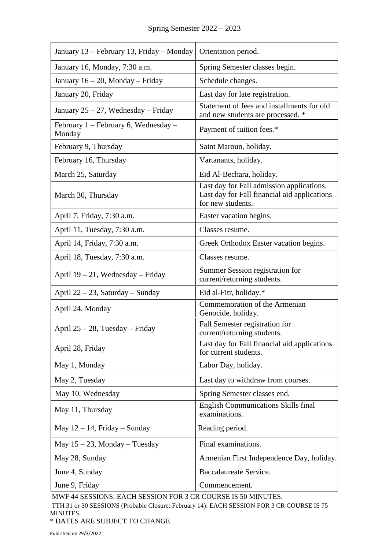| January 13 – February 13, Friday – Monday        | Orientation period.                                                                                            |
|--------------------------------------------------|----------------------------------------------------------------------------------------------------------------|
| January 16, Monday, 7:30 a.m.                    | Spring Semester classes begin.                                                                                 |
| January $16 - 20$ , Monday – Friday              | Schedule changes.                                                                                              |
| January 20, Friday                               | Last day for late registration.                                                                                |
| January 25 – 27, Wednesday – Friday              | Statement of fees and installments for old<br>and new students are processed. *                                |
| February $1$ – February 6, Wednesday –<br>Monday | Payment of tuition fees.*                                                                                      |
| February 9, Thursday                             | Saint Maroun, holiday.                                                                                         |
| February 16, Thursday                            | Vartanants, holiday.                                                                                           |
| March 25, Saturday                               | Eid Al-Bechara, holiday.                                                                                       |
| March 30, Thursday                               | Last day for Fall admission applications.<br>Last day for Fall financial aid applications<br>for new students. |
| April 7, Friday, 7:30 a.m.                       | Easter vacation begins.                                                                                        |
| April 11, Tuesday, 7:30 a.m.                     | Classes resume.                                                                                                |
| April 14, Friday, 7:30 a.m.                      | Greek Orthodox Easter vacation begins.                                                                         |
| April 18, Tuesday, 7:30 a.m.                     | Classes resume.                                                                                                |
| April $19 - 21$ , Wednesday – Friday             | Summer Session registration for<br>current/returning students.                                                 |
| April $22 - 23$ , Saturday – Sunday              | Eid al-Fitr, holiday.*                                                                                         |
| April 24, Monday                                 | Commemoration of the Armenian<br>Genocide, holiday.                                                            |
| April $25 - 28$ , Tuesday – Friday               | Fall Semester registration for<br>current/returning students.                                                  |
| April 28, Friday                                 | Last day for Fall financial aid applications<br>for current students.                                          |
| May 1, Monday                                    | Labor Day, holiday.                                                                                            |
| May 2, Tuesday                                   | Last day to withdraw from courses.                                                                             |
| May 10, Wednesday                                | Spring Semester classes end.                                                                                   |
| May 11, Thursday                                 | <b>English Communications Skills final</b><br>examinations.                                                    |
| May $12 - 14$ , Friday – Sunday                  | Reading period.                                                                                                |
| May $15 - 23$ , Monday – Tuesday                 | Final examinations.                                                                                            |
| May 28, Sunday                                   | Armenian First Independence Day, holiday.                                                                      |
| June 4, Sunday                                   | Baccalaureate Service.                                                                                         |
| June 9, Friday                                   | Commencement.                                                                                                  |

MWF 44 SESSIONS: EACH SESSION FOR 3 CR COURSE IS 50 MINUTES.

TTH 31 or 30 SESSIONS (Probable Closure: February 14): EACH SESSION FOR 3 CR COURSE IS 75 MINUTES.

\* DATES ARE SUBJECT TO CHANGE